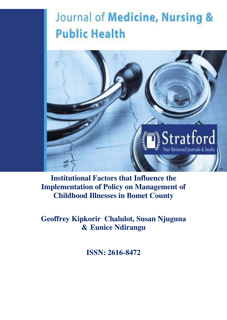# Journal of Medicine, Nursing & **Public Health**



**Institutional Factors that Influence the Implementation of Policy on Management of Childhood Illnesses in Bomet County**

**Geoffrey Kipkorir Chalulot, Susan Njuguna & Eunice Ndirangu**

**ISSN: 2616-8472**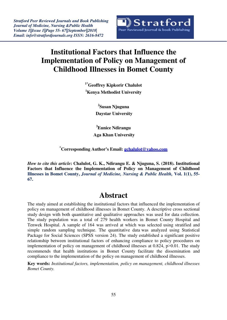

## **Institutional Factors that Influence the Implementation of Policy on Management of Childhood Illnesses in Bomet County**

**1\*Geoffrey Kipkorir Chalulot <sup>1</sup>Kenya Methodist University**

> **2 Susan Njuguna Daystar University**

**<sup>3</sup>Eunice Ndirangu Aga Khan University**

**\*Corresponding Author's Email: [gchalulot@yahoo.com](mailto:gchalulot@yahoo.com)**

*How to cite this article***: Chalulot, G. K., Ndirangu E. & Njuguna, S. (2018). Institutional Factors that Influence the Implementation of Policy on Management of Childhood Illnesses in Bomet County,** *Journal of Medicine, Nursing & Public Health,* **Vol. 1(1), 55- 67.**

### **Abstract**

The study aimed at establishing the institutional factors that influenced the implementation of policy on management of childhood illnesses in Bomet County. A descriptive cross sectional study design with both quantitative and qualitative approaches was used for data collection. The study population was a total of 279 health workers in Bomet County Hospital and Tenwek Hospital. A sample of 164 was arrived at which was selected using stratified and simple random sampling technique. The quantitative data was analyzed using Statistical Package for Social Sciences (SPSS version 24). The study established a significant positive relationship between institutional factors of enhancing compliance to policy procedures on implementation of policy on management of childhood illnesses at  $0.824$ ,  $p > 0.01$ . The study recommends that health institutions in Bomet County facilitate the dissemination and compliance to the implementation of the policy on management of childhood illnesses.

**Key words:** *Institutional factors, implementation, policy on management, childhood illnesses Bomet County.*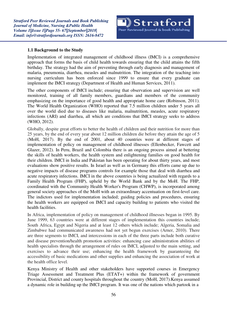#### **1.1 Background to the Study**

Implementation of integrated management of childhood illness (IMCI) is a comprehensive approach that forms the basis of child health towards ensuring that the child attains the fifth birthday. The strategy had the aim of preventing through early diagnosis and management of malaria, pneumonia, diarrhea, measles and malnutrition. The integration of the teaching into nursing curriculum has been enforced since 1999 to ensure that every graduate can implement the IMCI strategy (Department of Health and Human Services, 2011).

The other components of IMCI include; ensuring that observation and supervision are well monitored, training of all family members, guardians and members of the community emphasizing on the importance of good health and appropriate home care (Robinson, 2011). The World Health Organization (WHO) reported that 7.5 million children under 5 years all over the world died due to diseases like malaria, malnutrition, measles, acute respiratory infections (ARI) and diarrhea, all which are conditions that IMCI strategy seeks to address (WHO, 2012).

Globally, despite great efforts to better the health of children and their nutrition for more than 25 years, by the end of every year about 12 million children die before they attain the age of 5 (MoH, 2017). By the end of 2001, about 40 countries were at different stages of implementation of policy on management of childhood illnesses (Ellenbecker, Fawcett and Glazer, 2012). In Peru, Brazil and Colombia there is an ongoing process aimed at bettering the skills of health workers, the health system and enlightening families on good health for their children. IMCI in India and Pakistan has been operating for about thirty years, and most evaluations show positive results. In Israel as well as in Germany this efforts came up due to negative impacts of disease programs controls for example those that deal with diarrhea and acute respiratory infections. IMCI in the above countries is being actualized with regards to a Family Health Program (FHP), upheld by the World Bank and by the MoH. The FHP, coordinated with the Community Health Worker's Program (CHWP), is incorporated among general society approaches of the MoH with an extraordinary accentuation on first-level care. The indictors used for implementation included; guiding policies and procedures, ensuring the health workers are equipped on IMCI and capacity building to patients who visited the health facilities.

In Africa, implementation of policy on management of childhood illnesses began in 1995. By June 1999, 63 countries were at different stages of implementation this countries include; South Africa, Egypt and Nigeria and at least 12 others which include; Algeria, Somalia and Zimbabwe had communicated awareness had not yet begun exercises (Arner, 2010). There are three segments to IMCI, and intercessions in each of the three parts include both curative and disease prevention/health promotion activities: enhancing case administration abilities of health specialists through the arrangement of rules on IMCI, adjusted to the main setting, and exercises to advance their use; enhancing the health framework by guaranteeing the accessibility of basic medications and other supplies and enhancing the association of work at the health office level.

Kenya Ministry of Health and other stakeholders have supported courses in Emergency Triage Assessment and Treatment Plus (ETAT+) within the framework of government Provincial, District and county hospitals throughout the country (MoH, 2017).Kenya assumed a dynamic role in building up the IMCI program. It was one of the nations which partook in a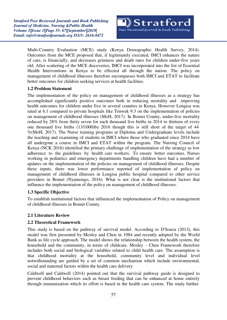*Stratford Peer Reviewed Journals and Book Publishing Journal of Medicine, Nursing &Public Health Volume 1||Issue 1||Page 55- 67||September||2018| Email: [info@stratfordjournals.org](mailto:info@stratfordjournals.org) ISSN: 2616-8472*

Multi-Country Evaluation (MCE) study (Kenya Demographic Health Survey, 2014). Outcomes from the MCE proposed that, if legitimately executed, IMCI enhances the nature of care, is financially, and decreases grimness and death rates for children under-five years old. After scattering of the MCE discoveries, IMCI was incorporated into the list of Essential Health Interventions in Kenya to be effected all through the nation. The policy on management of childhood illnesses therefore encompasses both IMCI and ETAT to facilitate better outcomes for children seeking services at health facilities.

#### **1.2 Problem Statement**

The implementation of the policy on management of childhood illnesses as a strategy has accomplished significantly positive outcomes both in reducing mortality and improving health outcomes for children under five in several counties in Kenya. However Longisa was rated at 6.1 compared to private hospitals like Tenwek 9.3 on the implementation of policies on management of childhood illnesses (MoH, 2017). In Bomet County, under-five mortality reduced by 28% from thirty seven for each thousand live births in 2014 to thirteen of every one thousand live births (13/1000)by 2016 though this is still short of the target of 44 %(MoH, 2017). The Nurse training programs at Diploma and Undergraduate levels include the teaching and examining of students in IMCI where those who graduated since 2014 have all undergone a course in IMCI and ETAT within the program. The Nursing Council of Kenya (NCK 2016) identified the primary challenge of implementation of the strategy as low adherence to the guidelines by health care workers. To ensure better outcomes. Nurses working in pediatrics and emergency departments handling children have had a number of updates on the implementation of the policies on management of childhood illnesses. Despite these inputs, there was lower performance reported of implementation of policy on management of childhood illnesses in Longisa public hospital compared to other service providers in Bomet (Nyamongo, 2016). What is not clear is the institutional factors that influence the implementation of the policy on management of childhood illnesses.

#### **1.3 Specific Objective**

To establish institutional factors that influenced the implementation of Policy on management of childhood illnesses in Bomet County.

#### **2.1 Literature Review**

#### **2.2 Theoretical Framework**

This study is based on the pathway of survival model. According to D'Souza (2013), this model was first presented by Mosley and Chen in 1984 and recently adopted by the World Bank as life cycle approach. The model shows the relationship between the health system, the household and the community, in terms of childcare. Mosley – Chen Framework therefore includes both social and biological variables related to child health care. The assumption is that childhood mortality at the household, community level and individual level notwithstanding are guided by a set of common mechanism which include environmental, social and maternal factors within the health care delivery

Caldwell and Caldwell (2014) pointed out that the survival pathway guide is designed to prevent childhood behaviors such as breast feeding that can be enhanced at home entirely through immunization which its effort is based in the health care system. The study further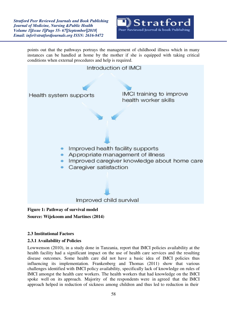*Stratford Peer Reviewed Journals and Book Publishing Journal of Medicine, Nursing &Public Health Volume 1||Issue 1||Page 55- 67||September||2018| Email: [info@stratfordjournals.org](mailto:info@stratfordjournals.org) ISSN: 2616-8472*



points out that the pathways portrays the management of childhood illness which in many instances can be handled at home by the mother if she is equipped with taking critical conditions when external procedures and help is required.



**Source: Wijekoom and Martines (2014)**

#### **2.3 Institutional Factors**

#### **2.3.1 Availability of Policies**

Lowwenson (2010), in a study done in Tanzania, report that IMCI policies availability at the health facility had a significant impact on the use of health care services and the resulting disease outcomes. Some health care did not have a basic idea of IMCI policies thus influencing its implementation. Frankenberg and Thomas (2011) show that various challenges identified with IMCI policy availability, specifically lack of knowledge on rules of IMCI amongst the health care workers. The health workers that had knowledge on the IMCI spoke well on its approach. Majority of the respondents were in agreed that the IMCI approach helped in reduction of sickness among children and thus led to reduction in their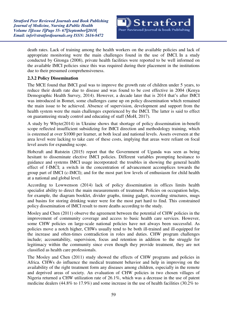death rates. Lack of training among the health workers on the available policies and lack of appropriate monitoring were the main challenges found in the use of IMCI. In a study conducted by Gitonga (2008), private health facilities were reported to be well informed on the available IMCI policies since this was required during their placement in the institutions due to their presumed comprehensiveness.

#### **2.3.2 Policy Dissemination**

The MCE found that IMCI goal was to improve the growth rate of children under 5 years, to reduce their death rate due to disease and was found to be cost effective in 2004 (Kenya Demographic Health Survey, 2014). However, a decade later that is 2014 that's after IMCI was introduced in Bomet, some challenges came up on policy dissemination which remained the main issue to be achieved. Absence of supervision, development and support from the health system were the main challenges experienced by the IMCI. The latter is said to effect on guaranteeing steady control and educating of staff (MoH, 2017).

A study by Whyte(2014) in Ukraine shows that shortage of policy dissemination in-benefit scope reflected insufficient subsidizing for IMCI direction and methodology training, which is esteemed at over \$1000 per learner, at both local and national levels. Assets overseen at the area level were lacking to take care of these costs, implying that areas were reliant on focal level assets for expanding scope.

Hobcraft and Rutstein (2015) report that the Government of Uganda was seen as being hesitant to disseminate elective IMCI policies. Different variables prompting hesitance to guidance and systems IMCI usage incorporated: the troubles in showing the general health effect of f-IMCI; a switch in the concentration of advancement accomplices towards the group part of IMCI (c-IMCI); and for the most part low levels of enthusiasm for child health at a national and global level.

According to Lowwenson (2014) lack of policy dissemination in offices limits health specialist ability to direct the main measurements of treatment. Policies on occupation helps, for example, the diagram booklet, divider graphs, timing gadget, recording structures, mugs and basins for storing drinking water were for the most part hard to find. This constrained policy dissemination of IMCI result to more deaths according to the study.

Mosley and Chen (2011) observe the agreement between the potential of CHW policies in the improvement of community coverage and access to basic health care services. However, some CHW policies on large-scale national policies have not always been successful. As policies move a notch higher, CHWs usually tend to be both ill-trained and ill-equipped for the increase and often-times contradiction in roles and duties. CHW program challenges include; accountability, supervision, focus and retention in addition to the struggle for legitimacy within the community since even though they provide treatment, they are not classified as health care professionals.

The Mosley and Chen (2011) study showed the effects of CHW programs and policies in Africa. CHWs do influence the medical treatment behavior and help in improving on the availability of the right treatment form any diseases among children, especially in the remote and deprived areas of society. An evaluation of CHW policies in two chosen villages of Nigeria returned a CHW utilization rate of 26.1%, which was a decrease in the use of patent medicine dealers (44.8% to 17.9%) and some increase in the use of health facilities (30.2% to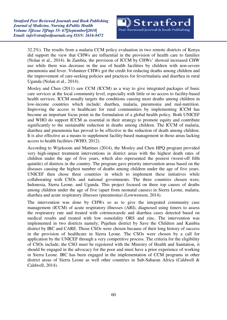32.2%). The results from a malaria CCM policy evaluation in two remote districts of Kenya did support the view that CHWs are influential in the provision of health care to families (Nolan et al., 2014). In Zambia, the provision of ICCM by CHWs' showed increased CHW use while there was decrease in the use of health facilities by children with non-severe pneumonia and fever. Volunteer CHWs got the credit for reducing deaths among children and the improvement of care-seeking policies and practices for fever/malaria and diarrhea in rural Uganda (Nolan et al., 2014).

Mosley and Chen (2011) saw CCM (ICCM) as a way to give integrated packages of basic care services at the local community level, especially with little or no access to facility-based health services. ICCM usually targets the conditions causing most deaths among children in low-income countries which include; diarrhea, malaria, pneumonia and mal-nutrition. Improving the access to healthcare for rural communities by implementing ICCM has become an important focus point in the formulation of a global health policy. Both UNICEF and WHO do support ICCM as essential in their strategy to promote equity and contribute significantly to the sustainable reduction in deaths among children. The ICCM of malaria, diarrhea and pneumonia has proved to be effective in the reduction of death among children. It is also effective as a means to supplement facility-based management in those areas lacking access to health facilities (WHO, 2012).

According to Wijekoom and Martines (2014), the Mosley and Chen HPQ program provided very high-impact treatment interventions in district areas with the highest death rates of children under the age of five years, which also represented the poorest (worst-off fifth quintile) of districts in the country. The program gave priority intervention areas based on the diseases causing the highest number of deaths among children under the age of five years. UNICEF then chose three countries in which to implement these initiatives while collaborating with CSOs and national governments. The three countries chosen were; Indonesia, Sierra Leone, and Uganda. This project focused on three top causes of deaths among children under the age of five (apart from neonatal causes) in Sierra Leone, malaria, diarrhea and acute respiratory illnesses (pneumonia) (Lowwenson, 2014).

The intervention was done by CHWs so as to give the integrated community case management (ICCM) of acute respiratory illnesses (ARI), diagnosed using timers to assess the respiratory rate and treated with cotrimoxazole and diarrhea cases detected based on medical results and treated with low osmolality ORS and zinc. The intervention was implemented in two districts namely; Pujehun district by Save the Children and Kambia district by IRC and CARE. Those CSOs were chosen because of their long history of success in the provision of healthcare in Sierra Leone. The CSOs were chosen by a call for application by the UNICEF through a very competitive process. The criteria for the eligibility of CSOs include; the CSO must be registered with the Ministry of Health and Sanitation, it should be engaged in the advocacy for the poor and must have a prior experience of working in Sierra Leone. IRC has been engaged in the implementation of CCM programs in other district areas of Sierra Leone as well other countries in Sub-Saharan Africa (Caldwell & Caldwell, 2014).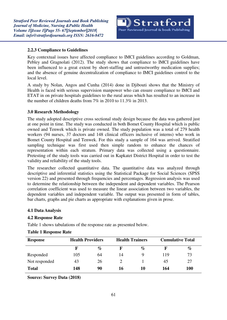#### **2.2.3 Compliance to Guidelines**

Key contextual issues have affected compliance to IMCI guidelines according to Goldman, Pebley and Gragnolati (2012). The study shows that compliance to IMCI guidelines have been influenced to a great extent by short-staffing and untrustworthy medication supplies; and the absence of genuine decentralization of compliance to IMCI guidelines control to the local level.

A study by Nolan, Angos and Cunha (2014) done in Djibouti shows that the Ministry of Health is faced with serious supervision manpower who can ensure compliance to IMCI and ETAT in on private hospitals guidelines to the rural areas which has resulted to an increase in the number of children deaths from 7% in 2010 to 11.3% in 2013.

#### **3.0 Research Methodology**

The study adopted descriptive cross sectional study design because the data was gathered just at one point in time. The study was conducted in both Bomet County Hospital which is public owned and Tenwek which is private owned. The study population was a total of 279 health workers (94 nurses, 37 doctors and 148 clinical officers inclusive of interns) who work in Bomet County Hospital and Tenwek. For this study a sample of 164 was arrived. Stratified sampling technique was first used then simple random to enhance the chances of representation within each stratum. Primary data was collected using a questionnaire. Pretesting of the study tools was carried out in Kapkatet District Hospital in order to test the validity and reliability of the study tools.

The researcher collected quantitative data. The quantitative data was analyzed through descriptive and inferential statistics using the Statistical Package for Social Sciences (SPSS version 22) and presented through frequencies and percentages. Regression analysis was used to determine the relationship between the independent and dependent variables. The Pearson correlation coefficient was used to measure the linear association between two variables, the dependent variables and independent variable. The output was presented in form of tables, bar charts, graphs and pie charts as appropriate with explanations given in prose.

#### **4.1 Data Analysis**

#### **4.2 Response Rate**

Table 1 shows tabulations of the response rate as presented below.

| <b>Response</b> | <b>Health Providers</b> |      |    | <b>Health Trainers</b> | <b>Cumulative Total</b> |            |
|-----------------|-------------------------|------|----|------------------------|-------------------------|------------|
|                 | F                       | $\%$ |    | $\%$                   |                         | $\%$       |
| Responded       | 105                     | 64   | 14 |                        | 119                     | 73         |
| Not responded   | 43                      | 26   |    |                        | 45                      | 27         |
| <b>Total</b>    | 148                     | 90   | 16 | 10                     | 164                     | <b>100</b> |

#### **Table 1 Response Rate**

**Source: Survey Data (2018)**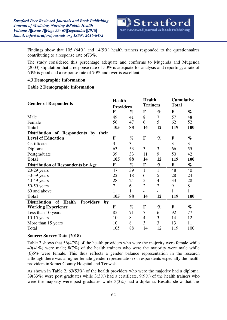

Findings show that 105 (64%) and 14(9%) health trainers responded to the questionnaires contributing to a response rate of73%.

The study considered this percentage adequate and conforms to Mugenda and Mugenda (2003) stipulation that a response rate of 50% is adequate for analysis and reporting; a rate of 60% is good and a response rate of 70% and over is excellent.

#### **4.3 Demographic Information**

#### **Table 2 Demographic Information**

| <b>Gender of Respondents</b>                                  |     | <b>Health</b><br><b>Providers</b> |                          | <b>Health</b><br><b>Trainers</b> |              | <b>Cumulative</b><br><b>Total</b> |  |
|---------------------------------------------------------------|-----|-----------------------------------|--------------------------|----------------------------------|--------------|-----------------------------------|--|
|                                                               | F   | $\%$                              | F                        | $\%$                             | F            | $\%$                              |  |
| Male                                                          | 49  | 41                                | 8                        | 7                                | 57           | 48                                |  |
| Female                                                        | 56  | 47                                | 6                        | 5                                | 62           | 52                                |  |
| <b>Total</b>                                                  | 105 | 88                                | 14                       | 12                               | 119          | 100                               |  |
| Distribution of Respondents by<br>their                       |     |                                   |                          |                                  |              |                                   |  |
| <b>Level of Education</b>                                     | F   | $\%$                              | F                        | $\%$                             | F            | $\%$                              |  |
| Certificate                                                   | 3   | 3                                 | $\overline{\phantom{a}}$ |                                  | 3            | $\overline{3}$                    |  |
| Diploma                                                       | 63  | 53                                | 3                        | 3                                | 66           | 55                                |  |
| Postgraduate                                                  | 39  | 33                                | 11                       | 9                                | 50           | 42                                |  |
| <b>Total</b>                                                  | 105 | 88                                | 14                       | 12                               | 119          | 100                               |  |
| <b>Distribution of Respondents by Age</b>                     | F   | $\%$                              | $\mathbf F$              | $\%$                             | $\mathbf{F}$ | $\%$                              |  |
| $20-29$ years                                                 | 47  | 39                                | 1                        | 1                                | 48           | 40                                |  |
| 30-39 years                                                   | 22  | 18                                | 6                        | 5                                | 28           | 24                                |  |
| 40-49 years                                                   | 28  | 24                                | 5                        | 4                                | 33           | 28                                |  |
| 50-59 years                                                   | 7   | 6                                 | $\overline{2}$           | $\overline{2}$                   | 9            | 8                                 |  |
| 60 and above                                                  | 1   | 1                                 |                          |                                  | $\mathbf{1}$ | 1                                 |  |
| <b>Total</b>                                                  | 105 | 88                                | 14                       | 12                               | 119          | <b>100</b>                        |  |
| of<br><b>Providers</b><br><b>Distribution</b><br>Health<br>by |     |                                   |                          |                                  |              |                                   |  |
| <b>Working Experience</b>                                     | F   | $\%$                              | F                        | $\%$                             | F            | $\%$                              |  |
| Less than 10 years                                            | 85  | 71                                | $\overline{7}$           | 6                                | 92           | 77                                |  |
| $10-15$ years                                                 | 10  | 8                                 | 4                        | 3                                | 14           | 12                                |  |
| More than 15 years                                            | 10  | 8                                 | 3                        | 3                                | 13           | 11                                |  |
| Total                                                         | 105 | 88                                | 14                       | 12                               | 119          | 100                               |  |

#### **Source: Survey Data (2018)**

Table 2 shows that 56(47%) of the health providers who were the majority were female while 49(41%) were male; 8(7%) of the health trainers who were the majority were male while (6)5% were female. This thus reflects a gender balance representation in the research although there was a higher female gender representation of respondents especially the health providers inBomet County Hospital and Tenwek.

As shown in Table 2, 63(53%) of the health providers who were the majority had a diploma, 39(33%) were post graduates while 3(3%) had a certificate. 9(9%) of the health trainers who were the majority were post graduates while 3(3%) had a diploma. Results show that the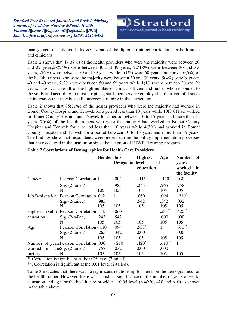*Stratford Peer Reviewed Journals and Book Publishing Journal of Medicine, Nursing &Public Health Volume 1||Issue 1||Page 55- 67||September||2018| Email: [info@stratfordjournals.org](mailto:info@stratfordjournals.org) ISSN: 2616-8472*



management of childhood illnesses is part of the diploma training curriculum for both nurse and clinicians.

Table 2 shows that 47(39%) of the health providers who were the majority were between 20 and 29 years,28(24%) were between 40 and 49 years, 22(18%) were between 30 and 39 years,  $7(6%)$  were between 50 and 59 years while  $1(1%)$  were 60 years and above.  $6(5%)$  of the health trainers who were the majority were between 30 and 39 years, 5(4%) were between 40 and 49 years, 2(2%) were between 50 and 59 years while 1(1%) were between 20 and 29 years. This was a result of the high number of clinical officers and nurses who responded to the study and according to most hospitals; staff members are employed in their youthful stage an indication that they have all undergone training in the curriculum.

Table 2 shows that 85(71%) of the health providers who were the majority had worked in Bomet County Hospital and Tenwek for a period less than 10 years while 10(8%) had worked in Bomet County Hospital and Tenwek for a period between 10 to 15 years and more than 15 years. 7(6%) of the health trainers who were the majority had worked in Bomet County Hospital and Tenwek for a period less than 10 years while 4(3%) had worked in Bomet County Hospital and Tenwek for a period between 10 to 15 years and more than 15 years. The findings show that respondents were present during the policy implementation processes that have occurred in the institution since the adaption of ETAT+ Training program.

|              |                                            | <b>Gender Job</b> |                         | <b>Highest</b>       | Age       | Number of            |
|--------------|--------------------------------------------|-------------------|-------------------------|----------------------|-----------|----------------------|
|              |                                            |                   | <b>Designationlevel</b> | <sub>of</sub>        |           | years                |
|              |                                            |                   |                         | education            |           | worked<br>in         |
|              |                                            |                   |                         |                      |           | the facility         |
| Gender       | <b>Pearson Correlation 1</b>               |                   | .002                    | $-.115$              | $-.110$   | .030                 |
|              | Sig. (2-tailed)                            |                   | .985                    | .243                 | .265      | .758                 |
|              | N                                          | 105               | 105                     | 105                  | 105       | 105                  |
|              | Job Designation Pearson Correlation .002   |                   | 1                       | .060                 | .094      | $-.210^*$            |
|              | Sig. (2-tailed)                            | .985              |                         | .542                 | .342      | .032                 |
|              | N                                          | 105               | 105                     | 105                  | 105       | 105                  |
|              | Highest level of Pearson Correlation - 115 |                   | .060                    | 1                    | $.533***$ | $.420$ <sup>**</sup> |
| education    | $Sig. (2-tailed)$                          | .243              | .542                    |                      | .000      | .000                 |
|              | N                                          | 105               | 105                     | 105                  | 105       | 105                  |
| Age          | Pearson Correlation - 110                  |                   | .094                    | $.533$ <sup>**</sup> |           | $.610^{**}$          |
|              | $Sig. (2-tailed)$                          | .265              | .342                    | .000                 |           | .000                 |
|              | N                                          | 105               | 105                     | 105                  | 105       | 105                  |
|              | Number of yearsPearson Correlation .030    |                   | $-.210^*$               | $.420**$             | $.610**$  | 1                    |
| in<br>worked | the Sig. (2-tailed)                        | .758              | .032                    | .000                 | .000      |                      |
| facility     | N                                          | 105               | 105                     | 105                  | 105       | 105                  |

#### **Table 2 Correlations of Demographics for Health Care Providers**

\*. Correlation is significant at the 0.05 level (2-tailed).

\*\*. Correlation is significant at the 0.01 level (2-tailed).

Table 3 indicates that there was no significant relationship for items on the demographics for the health trainer. However, there was statistical significance on the number of years of work, education and age for the health care provider at  $0.05$  level (p =220; 420 and 610) as shown in the table above.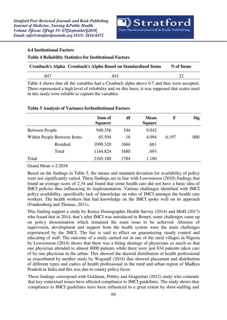

#### **4.4 Institutional Factors**

#### **Table 4 Reliability Statistics for Institutional Factors**

| Cronbach's Alpha Cronbach's Alpha Based on Standardized Items | N of Items |  |
|---------------------------------------------------------------|------------|--|
| 847                                                           | .841       |  |
|                                                               |            |  |

Table 4 shows that all the variables had a Cronbach alpha above 0.7 and thus were accepted. These represented a high level of reliability and on this basis, it was supposed that scales used in this study were reliable to capture the variables.

|                       |                             | Sum of<br><b>Squares</b> | df   | <b>Mean</b><br><b>Square</b> | F     | <b>Sig</b> |
|-----------------------|-----------------------------|--------------------------|------|------------------------------|-------|------------|
| <b>Between People</b> |                             | 940.356                  | 104  | 9.042                        |       |            |
|                       | Within People Between Items | 65.504                   | 16   | 4.094                        | 6.197 | .000       |
|                       | Residual                    | 1099.320                 | 1664 | .661                         |       |            |
|                       | Total                       | 1164.824                 | 1680 | .693                         |       |            |
| Total                 |                             | 2105.180                 | 1784 | 1.180                        |       |            |

#### **Table 5 Analysis of Variance forInstitutional Factors**

Grand Mean  $= 2.2034$ 

Based on the findings in Table 5, the means and standard deviation for availability of policy were not significantly varied. These findings are in line with Lowwenson (2010) findings that found an average score of 2.34 and found that some health care did not have a basic idea of IMCI policies thus influencing its implementation. Various challenges identified with IMCI policy availability, specifically lack of knowledge on rules of IMCI amongst the health care workers. The health workers that had knowledge on the IMCI spoke well on its approach (Frankenberg and Thomas, 2011).

This finding support a study by Kenya Demographic Health Survey (2014) and MoH (2017) who found that in 2014, that's after IMCI was introduced in Bomet, some challenges came up on policy dissemination which remained the main issue to be achieved. Absence of supervision, development and support from the health system were the main challenges experienced by the IMCI. The last is said to effect on guaranteeing steady control and educating of staff. The outcome of a study carried out in one of the rural villages in Nigeria by Lowwenson (2014) shows that there was a biting shortage of physicians so much so that one physician attended to almost 8000 patients while there were just 834 patients taken care of by one physician in the urban. This showed the skewed distribution of health professional as exacerbated by another study by Wagstaff (2014) that showed placement and distribution of different types and cadres of health professional in the rural and urban region of Madhya Pradesh in India and this was due to county policy favor.

These findings correspond with Goldman, Pebley and Gragnolati (2012) study who contends that key contextual issues have affected compliance to IMCI guidelines. The study shows that compliance to IMCI guidelines have been influenced to a great extent by short-staffing and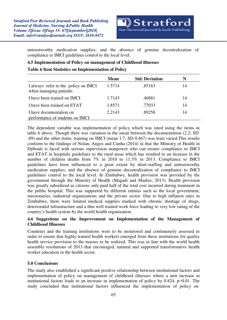

untrustworthy medication supplies; and the absence of genuine decentralization of compliance to IMCI guidelines control to the local level.

#### **4.5 Implementation of Policy on management of Childhood illnesses**

#### **Table 6 Item Statistics on Implementation of Policy**

|                                                                | <b>Mean</b> | <b>Std. Deviation</b> | N  |
|----------------------------------------------------------------|-------------|-----------------------|----|
| I always refer to the policy on IMCI<br>when managing patients | 1.5714      | .85163                | 14 |
| I have been trained on IMCI                                    | 1.7143      | .46881                | 14 |
| I have been trained on ETAT                                    | 1.8571      | .77033                | 14 |
| I have documentation on<br>performance of students on IMCI     | 2.2143      | .89258                | 14 |

The dependent variable was implementation of policy which was rated using the items in table 6 above. Though there was variation in the mean between the documentation (2.2; SD .89) and the other items, training on IMCI (mean 1.7; SD 0.467) was least varied.This results conform to the findings of Nolan, Angos and Cunha (2014) in that the Ministry of Health in Djibouti is faced with serious supervision manpower who can ensure compliance to IMCI and ETAT in hospitals guidelines to the rural areas which has resulted to an increase in the number of children deaths from 7% in 2010 to 11.3% in 2013. Compliance to IMCI guidelines have been influenced to a great extent by short-staffing and untrustworthy medication supplies; and the absence of genuine decentralization of compliance to IMCI guidelines control to the local level. In Zimbabwe, health provision was provided by the government through the Ministry of Health (Magadi and Madise, 2013). Health provision was greatly subsidized as citizens only paid half of the total cost incurred during treatment in the public hospital. This was supported by different entities such as the local government, missionaries, industrial organizations and the private sector. Due to high inflation rates in Zimbabwe, there were limited medical supplies marked with chronic shortage of drugs, deteriorated infrastructure and a thin well trained work force leading to very low rating of the country's health system by the world health organization.

#### **4.6 Suggestions on the Improvement on Implementation of the Management of Childhood Illnesses**

Countries and the training institutions were to be monitored and continuously assessed in order to ensure that highly trained health workers emerged from these institutions for quality health service provision to the masses to be realized. This was in line with the world health assembly resolutions of 2013 that encouraged, natured and supported transformative health worker education in the health sector.

#### **5.0 Conclusions**

The study also established a significant positive relationship between institutional factors and implementation of policy on management of childhood illnesses where a unit increase in institutional factors leads to an increase in implementation of policy by  $0.824$ , p $>0.01$ . The study concluded that institutional factors influenced the implementation of policy on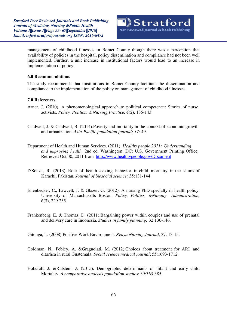

management of childhood illnesses in Bomet County though there was a perception that availability of policies in the hospital, policy dissemination and compliance had not been well implemented. Further, a unit increase in institutional factors would lead to an increase in implementation of policy.

#### **6.0 Recommendations**

The study recommends that iinstitutions in Bomet County facilitate the dissemination and compliance to the implementation of the policy on management of childhood illnesses.

#### **7.0 References**

- Arner, J. (2010). A phenomenological approach to political competence: Stories of nurse activists. *Policy, Politics, & Nursing Practice, 4*(2), 135-143.
- Caldwell, J. & Caldwell, B. (2014).Poverty and mortality in the context of economic growth and urbanization. *Asia-Pacific population journal; 17*: 49.
- Department of Health and Human Services. (2011). *Healthy people 2011: Understanding and improving health.* 2nd ed. Washington, DC: U.S. Government Printing Office. Retrieved Oct 30, 2011 from <http://www.healthypeople.gov/Document>
- D'Souza, R. (2013). Role of health-seeking behavior in child mortality in the slums of Karachi, Pakistan. *Journal of biosocial science;* 35:131-144.
- Ellenbecker, C., Fawcett, J. & Glazer, G. (2012). A nursing PhD specialty in health policy: University of Massachusetts Boston. *Policy, Politics, &Nursing Administration, 6*(3), 229 235.
- Frankenberg, E. & Thomas, D. (2011).Bargaining power within couples and use of prenatal and delivery care in Indonesia. *Studies in family planning;* 32:130-146.

Gitonga, L. (2008) Positive Work Environment. *Kenya Nursing Journal*, 37, 13-15.

- Goldman, N., Pebley, A. &Gragnolati, M. (2012).Choices about treatment for ARI and diarrhea in rural Guatemala. *Social science medical journal*; 55:1693-1712.
- Hobcraft, J. &Rutstein, J. (2015). Demographic determinants of infant and early child Mortality. *A comparative analysis population studies*; 39:363-385.